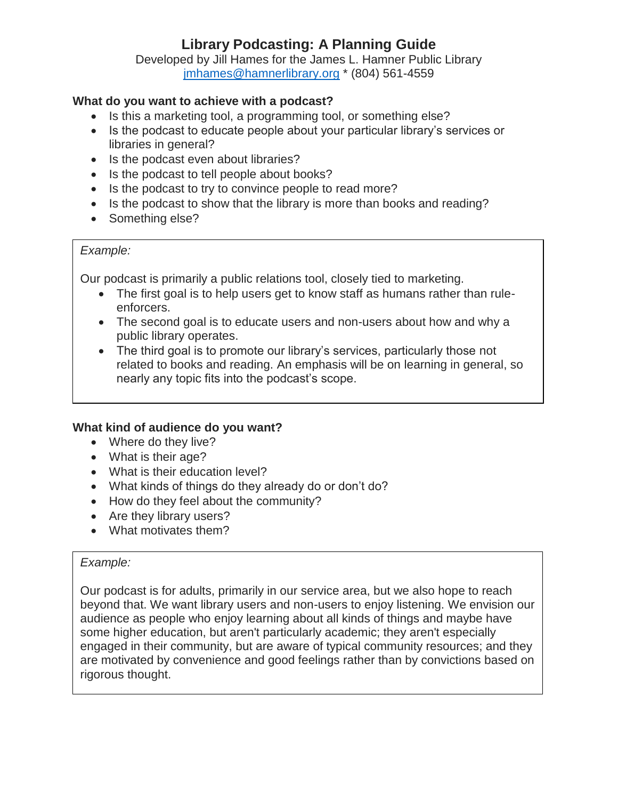Developed by Jill Hames for the James L. Hamner Public Library [jmhames@hamnerlibrary.org](mailto:jmhames@hamnerlibrary.org) \* (804) 561-4559

## **What do you want to achieve with a podcast?**

- Is this a marketing tool, a programming tool, or something else?
- Is the podcast to educate people about your particular library's services or libraries in general?
- Is the podcast even about libraries?
- Is the podcast to tell people about books?
- Is the podcast to try to convince people to read more?
- Is the podcast to show that the library is more than books and reading?
- Something else?

### *Example:*

Our podcast is primarily a public relations tool, closely tied to marketing.

- The first goal is to help users get to know staff as humans rather than ruleenforcers.
- The second goal is to educate users and non-users about how and why a public library operates.
- The third goal is to promote our library's services, particularly those not related to books and reading. An emphasis will be on learning in general, so nearly any topic fits into the podcast's scope.

### **What kind of audience do you want?**

- Where do they live?
- What is their age?
- What is their education level?
- What kinds of things do they already do or don't do?
- How do they feel about the community?
- Are they library users?
- What motivates them?

### *Example:*

Our podcast is for adults, primarily in our service area, but we also hope to reach beyond that. We want library users and non-users to enjoy listening. We envision our audience as people who enjoy learning about all kinds of things and maybe have some higher education, but aren't particularly academic; they aren't especially engaged in their community, but are aware of typical community resources; and they are motivated by convenience and good feelings rather than by convictions based on rigorous thought.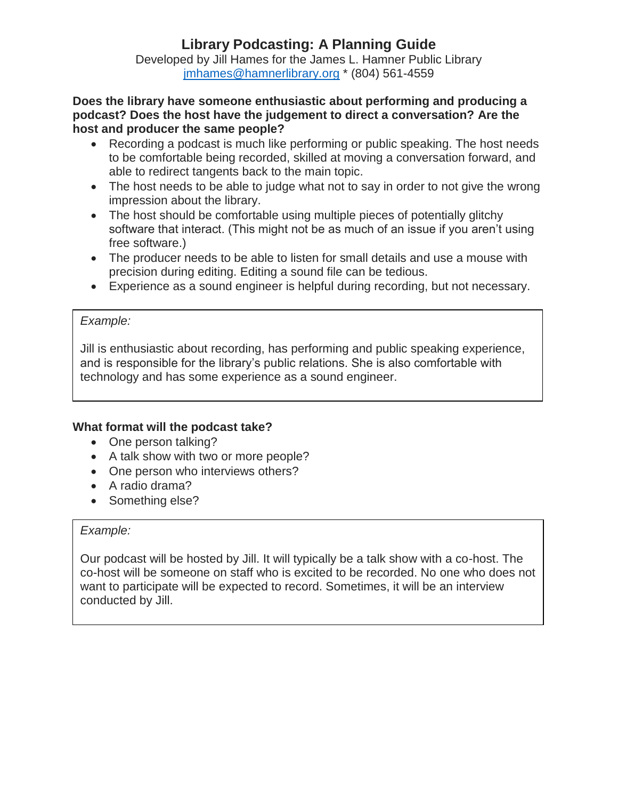Developed by Jill Hames for the James L. Hamner Public Library [jmhames@hamnerlibrary.org](mailto:jmhames@hamnerlibrary.org) \* (804) 561-4559

**Does the library have someone enthusiastic about performing and producing a podcast? Does the host have the judgement to direct a conversation? Are the host and producer the same people?**

- Recording a podcast is much like performing or public speaking. The host needs to be comfortable being recorded, skilled at moving a conversation forward, and able to redirect tangents back to the main topic.
- The host needs to be able to judge what not to say in order to not give the wrong impression about the library.
- The host should be comfortable using multiple pieces of potentially glitchy software that interact. (This might not be as much of an issue if you aren't using free software.)
- The producer needs to be able to listen for small details and use a mouse with precision during editing. Editing a sound file can be tedious.
- Experience as a sound engineer is helpful during recording, but not necessary.

### *Example:*

Jill is enthusiastic about recording, has performing and public speaking experience, and is responsible for the library's public relations. She is also comfortable with technology and has some experience as a sound engineer.

## **What format will the podcast take?**

- One person talking?
- A talk show with two or more people?
- One person who interviews others?
- A radio drama?
- Something else?

### *Example:*

Our podcast will be hosted by Jill. It will typically be a talk show with a co-host. The co-host will be someone on staff who is excited to be recorded. No one who does not want to participate will be expected to record. Sometimes, it will be an interview conducted by Jill.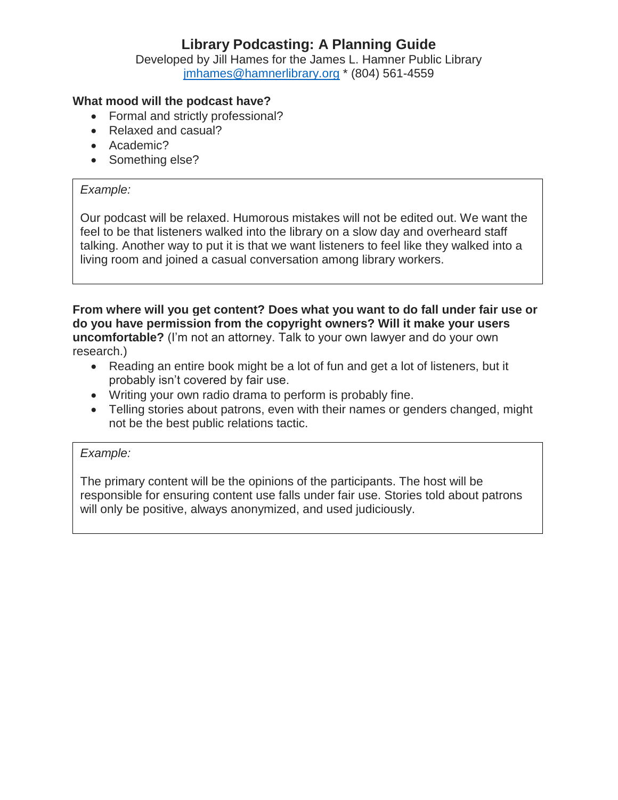Developed by Jill Hames for the James L. Hamner Public Library [jmhames@hamnerlibrary.org](mailto:jmhames@hamnerlibrary.org) \* (804) 561-4559

## **What mood will the podcast have?**

- Formal and strictly professional?
- Relaxed and casual?
- Academic?
- Something else?

#### *Example:*

Our podcast will be relaxed. Humorous mistakes will not be edited out. We want the feel to be that listeners walked into the library on a slow day and overheard staff talking. Another way to put it is that we want listeners to feel like they walked into a living room and joined a casual conversation among library workers.

**From where will you get content? Does what you want to do fall under fair use or do you have permission from the copyright owners? Will it make your users uncomfortable?** (I'm not an attorney. Talk to your own lawyer and do your own research.)

- Reading an entire book might be a lot of fun and get a lot of listeners, but it probably isn't covered by fair use.
- Writing your own radio drama to perform is probably fine.
- Telling stories about patrons, even with their names or genders changed, might not be the best public relations tactic.

#### *Example:*

The primary content will be the opinions of the participants. The host will be responsible for ensuring content use falls under fair use. Stories told about patrons will only be positive, always anonymized, and used judiciously.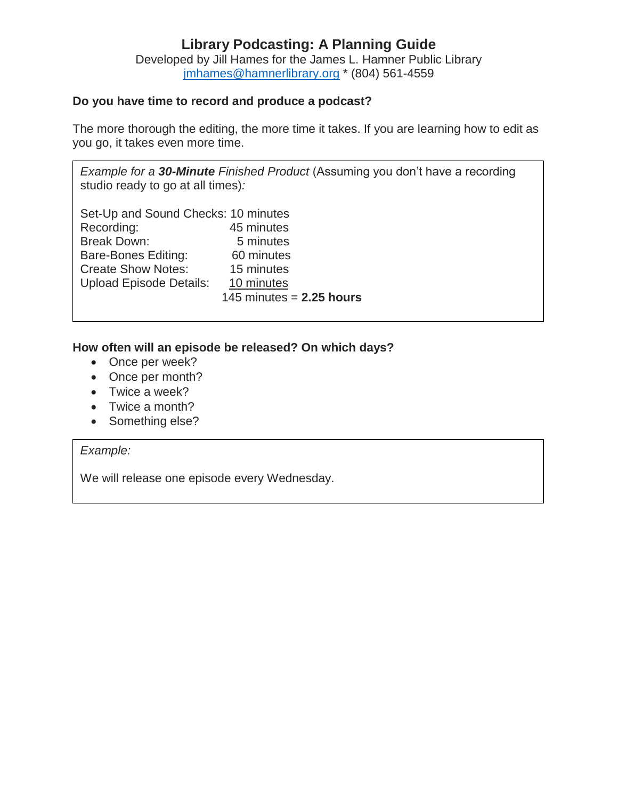Developed by Jill Hames for the James L. Hamner Public Library [jmhames@hamnerlibrary.org](mailto:jmhames@hamnerlibrary.org) \* (804) 561-4559

## **Do you have time to record and produce a podcast?**

The more thorough the editing, the more time it takes. If you are learning how to edit as you go, it takes even more time.

*Example for a 30-Minute Finished Product* (Assuming you don't have a recording studio ready to go at all times)*:*

| Set-Up and Sound Checks: 10 minutes |                            |
|-------------------------------------|----------------------------|
| Recording:                          | 45 minutes                 |
| <b>Break Down:</b>                  | 5 minutes                  |
| <b>Bare-Bones Editing:</b>          | 60 minutes                 |
| <b>Create Show Notes:</b>           | 15 minutes                 |
| <b>Upload Episode Details:</b>      | 10 minutes                 |
|                                     | 145 minutes $= 2.25$ hours |
|                                     |                            |

### **How often will an episode be released? On which days?**

- Once per week?
- Once per month?
- Twice a week?
- Twice a month?
- Something else?

## *Example:*

We will release one episode every Wednesday.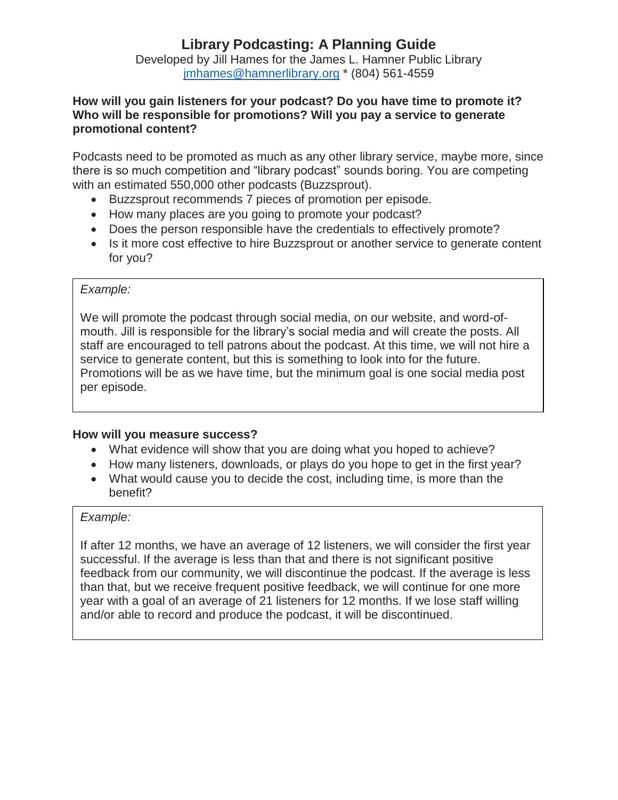Developed by Jill Hames for the James L. Hamner Public Library [jmhames@hamnerlibrary.org](mailto:jmhames@hamnerlibrary.org) \* (804) 561-4559

#### **How will you gain listeners for your podcast? Do you have time to promote it? Who will be responsible for promotions? Will you pay a service to generate promotional content?**

Podcasts need to be promoted as much as any other library service, maybe more, since there is so much competition and "library podcast" sounds boring. You are competing with an estimated 550,000 other podcasts (Buzzsprout).

- Buzzsprout recommends 7 pieces of promotion per episode.
- How many places are you going to promote your podcast?
- Does the person responsible have the credentials to effectively promote?
- Is it more cost effective to hire Buzzsprout or another service to generate content for you?

### *Example:*

We will promote the podcast through social media, on our website, and word-ofmouth. Jill is responsible for the library's social media and will create the posts. All staff are encouraged to tell patrons about the podcast. At this time, we will not hire a service to generate content, but this is something to look into for the future. Promotions will be as we have time, but the minimum goal is one social media post per episode.

#### **How will you measure success?**

- What evidence will show that you are doing what you hoped to achieve?
- How many listeners, downloads, or plays do you hope to get in the first year?
- What would cause you to decide the cost, including time, is more than the benefit?

#### *Example:*

If after 12 months, we have an average of 12 listeners, we will consider the first year successful. If the average is less than that and there is not significant positive feedback from our community, we will discontinue the podcast. If the average is less than that, but we receive frequent positive feedback, we will continue for one more year with a goal of an average of 21 listeners for 12 months. If we lose staff willing and/or able to record and produce the podcast, it will be discontinued.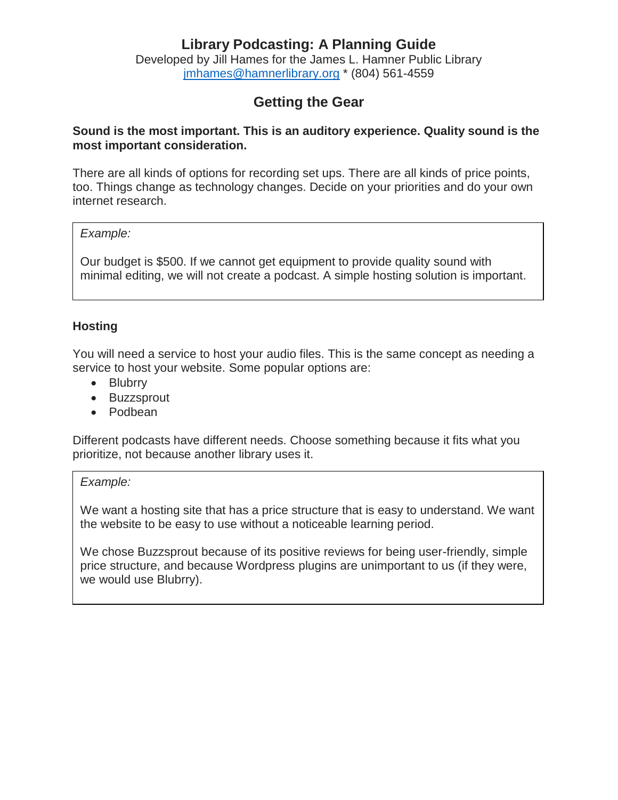Developed by Jill Hames for the James L. Hamner Public Library [jmhames@hamnerlibrary.org](mailto:jmhames@hamnerlibrary.org) \* (804) 561-4559

## **Getting the Gear**

#### **Sound is the most important. This is an auditory experience. Quality sound is the most important consideration.**

There are all kinds of options for recording set ups. There are all kinds of price points, too. Things change as technology changes. Decide on your priorities and do your own internet research.

#### *Example:*

Our budget is \$500. If we cannot get equipment to provide quality sound with minimal editing, we will not create a podcast. A simple hosting solution is important.

## **Hosting**

You will need a service to host your audio files. This is the same concept as needing a service to host your website. Some popular options are:

- Blubrry
- Buzzsprout
- Podbean

Different podcasts have different needs. Choose something because it fits what you prioritize, not because another library uses it.

### *Example:*

We want a hosting site that has a price structure that is easy to understand. We want the website to be easy to use without a noticeable learning period.

We chose Buzzsprout because of its positive reviews for being user-friendly, simple price structure, and because Wordpress plugins are unimportant to us (if they were, we would use Blubrry).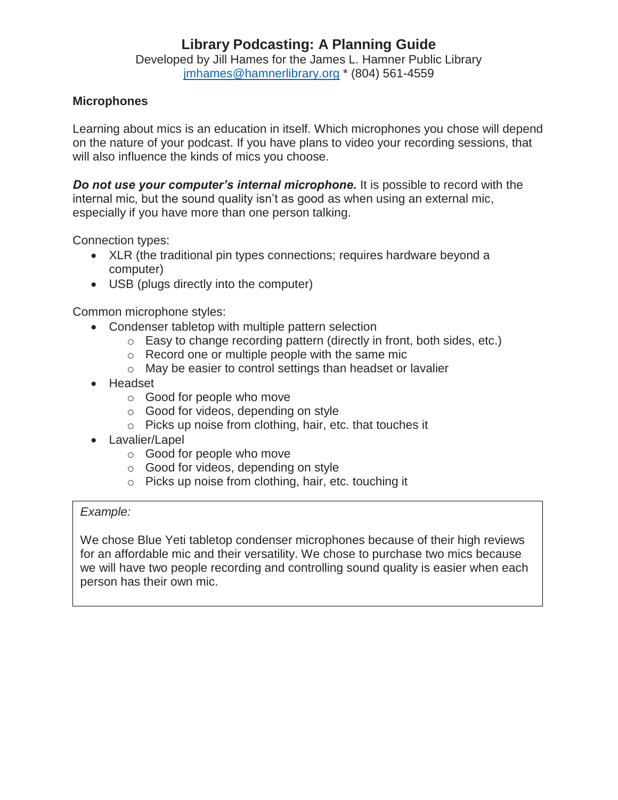Developed by Jill Hames for the James L. Hamner Public Library [jmhames@hamnerlibrary.org](mailto:jmhames@hamnerlibrary.org) \* (804) 561-4559

## **Microphones**

Learning about mics is an education in itself. Which microphones you chose will depend on the nature of your podcast. If you have plans to video your recording sessions, that will also influence the kinds of mics you choose.

*Do not use your computer's internal microphone.* It is possible to record with the internal mic, but the sound quality isn't as good as when using an external mic, especially if you have more than one person talking.

Connection types:

- XLR (the traditional pin types connections; requires hardware beyond a computer)
- USB (plugs directly into the computer)

Common microphone styles:

- Condenser tabletop with multiple pattern selection
	- $\circ$  Easy to change recording pattern (directly in front, both sides, etc.)
	- o Record one or multiple people with the same mic
	- o May be easier to control settings than headset or lavalier
- Headset
	- o Good for people who move
	- o Good for videos, depending on style
	- o Picks up noise from clothing, hair, etc. that touches it
- Lavalier/Lapel
	- o Good for people who move
	- o Good for videos, depending on style
	- o Picks up noise from clothing, hair, etc. touching it

### *Example:*

We chose Blue Yeti tabletop condenser microphones because of their high reviews for an affordable mic and their versatility. We chose to purchase two mics because we will have two people recording and controlling sound quality is easier when each person has their own mic.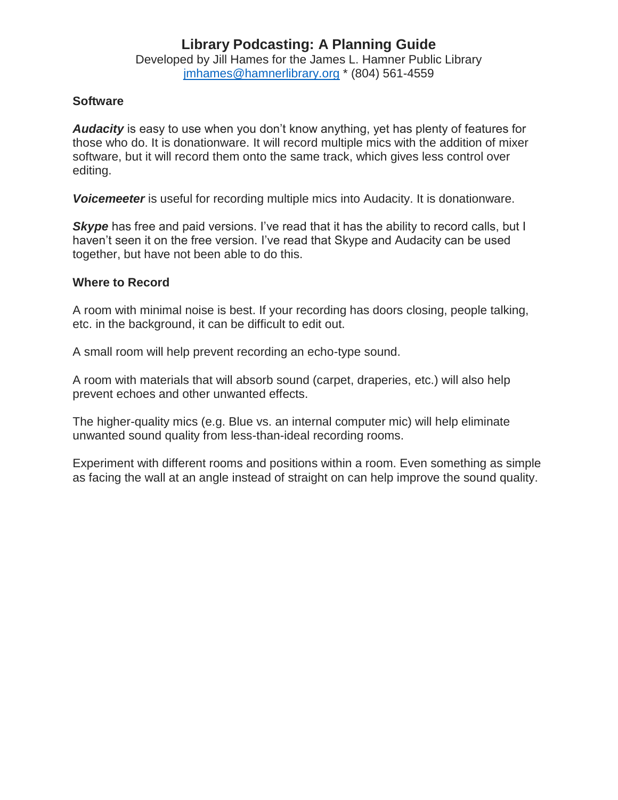Developed by Jill Hames for the James L. Hamner Public Library [jmhames@hamnerlibrary.org](mailto:jmhames@hamnerlibrary.org) \* (804) 561-4559

### **Software**

*Audacity* is easy to use when you don't know anything, yet has plenty of features for those who do. It is donationware. It will record multiple mics with the addition of mixer software, but it will record them onto the same track, which gives less control over editing.

*Voicemeeter* is useful for recording multiple mics into Audacity. It is donationware.

**Skype** has free and paid versions. I've read that it has the ability to record calls, but I haven't seen it on the free version. I've read that Skype and Audacity can be used together, but have not been able to do this.

## **Where to Record**

A room with minimal noise is best. If your recording has doors closing, people talking, etc. in the background, it can be difficult to edit out.

A small room will help prevent recording an echo-type sound.

A room with materials that will absorb sound (carpet, draperies, etc.) will also help prevent echoes and other unwanted effects.

The higher-quality mics (e.g. Blue vs. an internal computer mic) will help eliminate unwanted sound quality from less-than-ideal recording rooms.

Experiment with different rooms and positions within a room. Even something as simple as facing the wall at an angle instead of straight on can help improve the sound quality.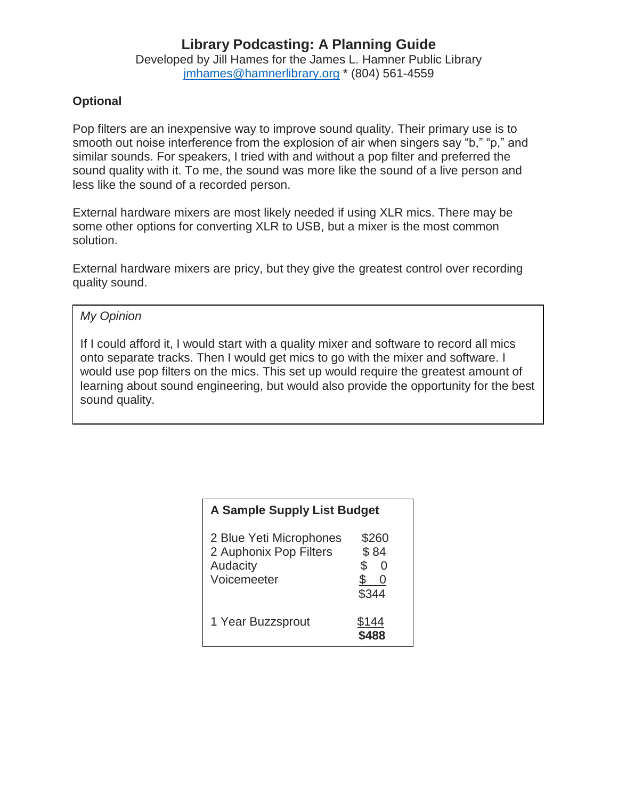Developed by Jill Hames for the James L. Hamner Public Library [jmhames@hamnerlibrary.org](mailto:jmhames@hamnerlibrary.org) \* (804) 561-4559

## **Optional**

Pop filters are an inexpensive way to improve sound quality. Their primary use is to smooth out noise interference from the explosion of air when singers say "b," "p," and similar sounds. For speakers, I tried with and without a pop filter and preferred the sound quality with it. To me, the sound was more like the sound of a live person and less like the sound of a recorded person.

External hardware mixers are most likely needed if using XLR mics. There may be some other options for converting XLR to USB, but a mixer is the most common solution.

External hardware mixers are pricy, but they give the greatest control over recording quality sound.

### *My Opinion*

If I could afford it, I would start with a quality mixer and software to record all mics onto separate tracks. Then I would get mics to go with the mixer and software. I would use pop filters on the mics. This set up would require the greatest amount of learning about sound engineering, but would also provide the opportunity for the best sound quality.

| <b>A Sample Supply List Budget</b>                                           |                                         |  |
|------------------------------------------------------------------------------|-----------------------------------------|--|
| 2 Blue Yeti Microphones<br>2 Auphonix Pop Filters<br>Audacity<br>Voicemeeter | \$260<br>\$84<br>\$<br>0<br>\$<br>\$344 |  |
| 1 Year Buzzsprout                                                            | \$144                                   |  |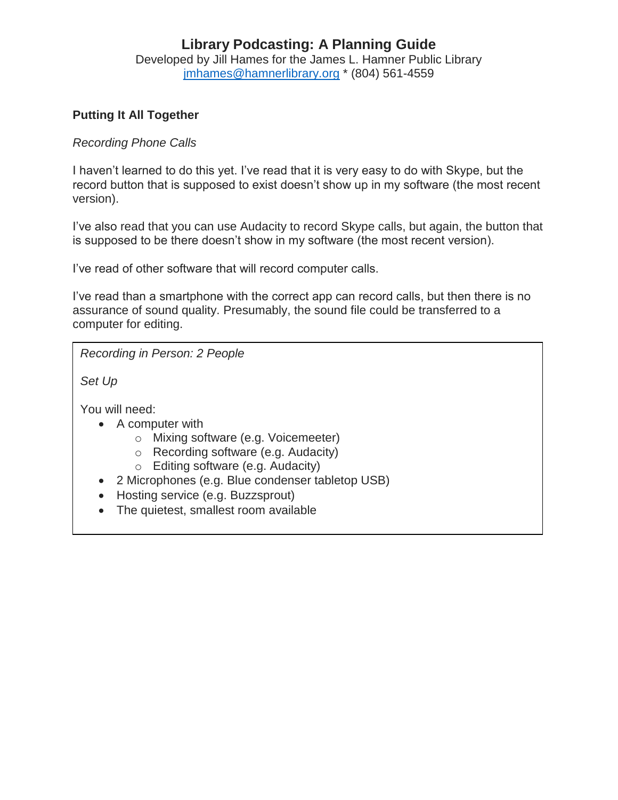Developed by Jill Hames for the James L. Hamner Public Library [jmhames@hamnerlibrary.org](mailto:jmhames@hamnerlibrary.org) \* (804) 561-4559

## **Putting It All Together**

### *Recording Phone Calls*

I haven't learned to do this yet. I've read that it is very easy to do with Skype, but the record button that is supposed to exist doesn't show up in my software (the most recent version).

I've also read that you can use Audacity to record Skype calls, but again, the button that is supposed to be there doesn't show in my software (the most recent version).

I've read of other software that will record computer calls.

I've read than a smartphone with the correct app can record calls, but then there is no assurance of sound quality. Presumably, the sound file could be transferred to a computer for editing.

*Recording in Person: 2 People*

*Set Up*

You will need:

- A computer with
	- o Mixing software (e.g. Voicemeeter)
	- o Recording software (e.g. Audacity)
	- o Editing software (e.g. Audacity)
- 2 Microphones (e.g. Blue condenser tabletop USB)
- Hosting service (e.g. Buzzsprout)
- The quietest, smallest room available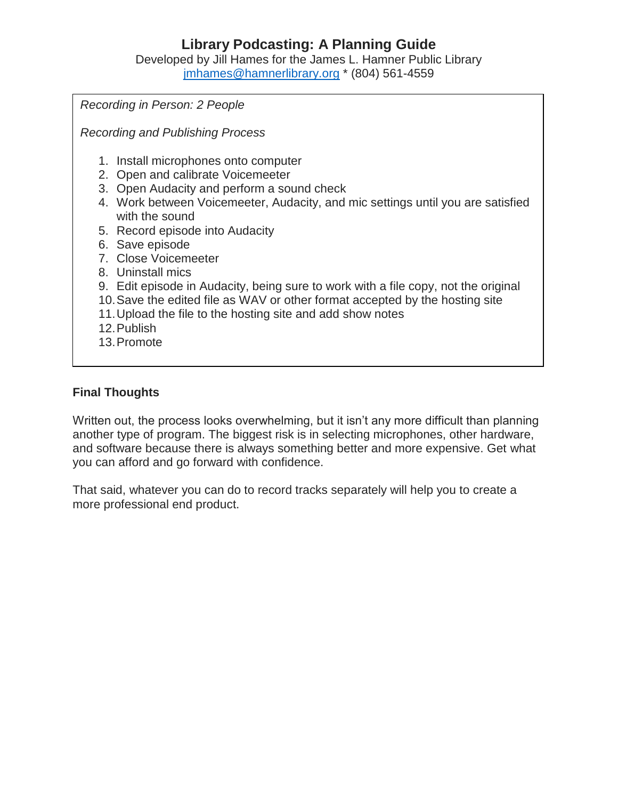Developed by Jill Hames for the James L. Hamner Public Library [jmhames@hamnerlibrary.org](mailto:jmhames@hamnerlibrary.org) \* (804) 561-4559

*Recording in Person: 2 People Recording and Publishing Process* 1. Install microphones onto computer 2. Open and calibrate Voicemeeter 3. Open Audacity and perform a sound check 4. Work between Voicemeeter, Audacity, and mic settings until you are satisfied with the sound 5. Record episode into Audacity 6. Save episode 7. Close Voicemeeter 8. Uninstall mics 9. Edit episode in Audacity, being sure to work with a file copy, not the original 10.Save the edited file as WAV or other format accepted by the hosting site 11.Upload the file to the hosting site and add show notes 12.Publish 13.Promote

## **Final Thoughts**

Written out, the process looks overwhelming, but it isn't any more difficult than planning another type of program. The biggest risk is in selecting microphones, other hardware, and software because there is always something better and more expensive. Get what you can afford and go forward with confidence.

That said, whatever you can do to record tracks separately will help you to create a more professional end product.